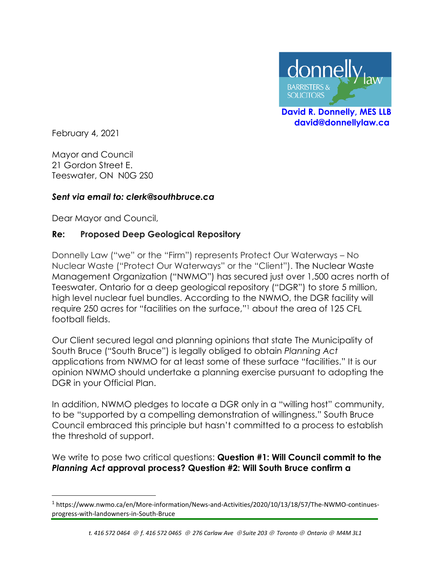

 **David R. Donnelly, MES LLB david@donnellylaw.ca**

February 4, 2021

Mayor and Council 21 Gordon Street E. Teeswater, ON N0G 2S0

### *Sent via email to: clerk@southbruce.ca*

Dear Mayor and Council,

### **Re: Proposed Deep Geological Repository**

Donnelly Law ("we" or the "Firm") represents Protect Our Waterways – No Nuclear Waste ("Protect Our Waterways" or the "Client"). The Nuclear Waste Management Organization ("NWMO") has secured just over 1,500 acres north of Teeswater, Ontario for a deep geological repository ("DGR") to store 5 million, high level nuclear fuel bundles. According to the NWMO, the DGR facility will require 250 acres for "facilities on the surface," <sup>1</sup> about the area of 125 CFL football fields.

Our Client secured legal and planning opinions that state The Municipality of South Bruce ("South Bruce") is legally obliged to obtain *Planning Act* applications from NWMO for at least some of these surface "facilities." It is our opinion NWMO should undertake a planning exercise pursuant to adopting the DGR in your Official Plan.

In addition, NWMO pledges to locate a DGR only in a "willing host" community, to be "supported by a compelling demonstration of willingness." South Bruce Council embraced this principle but hasn't committed to a process to establish the threshold of support.

We write to pose two critical questions: **Question #1: Will Council commit to the** *Planning Act* **approval process? Question #2: Will South Bruce confirm a** 

<sup>1</sup> https://www.nwmo.ca/en/More-information/News-and-Activities/2020/10/13/18/57/The-NWMO-continuesprogress-with-landowners-in-South-Bruce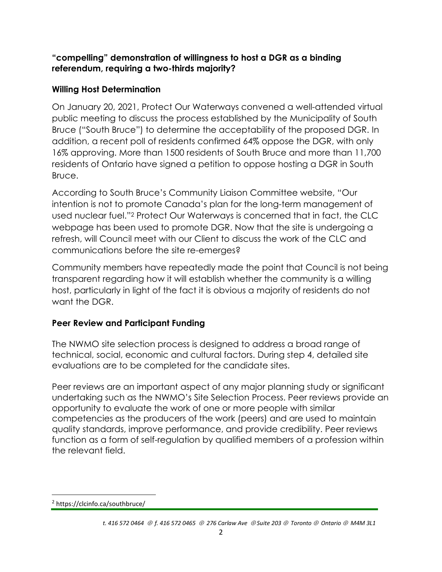## **"compelling" demonstration of willingness to host a DGR as a binding referendum, requiring a two-thirds majority?**

## **Willing Host Determination**

On January 20, 2021, Protect Our Waterways convened a well-attended virtual public meeting to discuss the process established by the Municipality of South Bruce ("South Bruce") to determine the acceptability of the proposed DGR. In addition, a recent poll of residents confirmed 64% oppose the DGR, with only 16% approving. More than 1500 residents of South Bruce and more than 11,700 residents of Ontario have signed a petition to oppose hosting a DGR in South Bruce.

According to South Bruce's Community Liaison Committee website, "Our intention is not to promote Canada's plan for the long-term management of used nuclear fuel."<sup>2</sup> Protect Our Waterways is concerned that in fact, the CLC webpage has been used to promote DGR. Now that the site is undergoing a refresh, will Council meet with our Client to discuss the work of the CLC and communications before the site re-emerges?

Community members have repeatedly made the point that Council is not being transparent regarding how it will establish whether the community is a willing host, particularly in light of the fact it is obvious a majority of residents do not want the DGR.

# **Peer Review and Participant Funding**

The NWMO site selection process is designed to address a broad range of technical, social, economic and cultural factors. During step 4, detailed site evaluations are to be completed for the candidate sites.

Peer reviews are an important aspect of any major planning study or significant undertaking such as the NWMO's Site Selection Process. Peer reviews provide an opportunity to evaluate the work of one or more people with similar competencies as the producers of the work (peers) and are used to maintain quality standards, improve performance, and provide credibility. Peer reviews function as a form of self-regulation by qualified members of a profession within the relevant field.

<sup>&</sup>lt;sup>2</sup> https://clcinfo.ca/southbruce/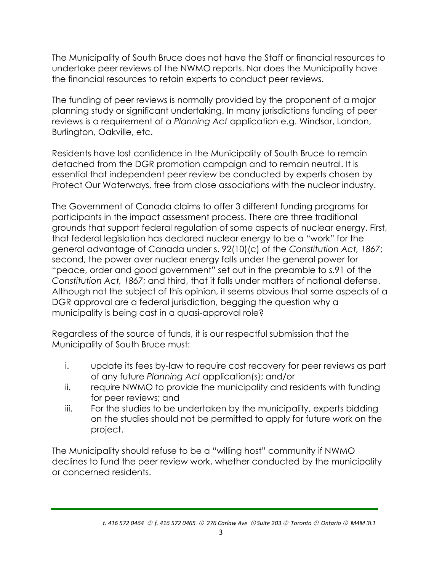The Municipality of South Bruce does not have the Staff or financial resources to undertake peer reviews of the NWMO reports. Nor does the Municipality have the financial resources to retain experts to conduct peer reviews.

The funding of peer reviews is normally provided by the proponent of a major planning study or significant undertaking. In many jurisdictions funding of peer reviews is a requirement of *a Planning Act* application e.g. Windsor, London, Burlington, Oakville, etc.

Residents have lost confidence in the Municipality of South Bruce to remain detached from the DGR promotion campaign and to remain neutral. It is essential that independent peer review be conducted by experts chosen by Protect Our Waterways, free from close associations with the nuclear industry.

The Government of Canada claims to offer 3 different funding programs for participants in the impact assessment process. There are three traditional grounds that support federal regulation of some aspects of nuclear energy. First, that federal legislation has declared nuclear energy to be a "work" for the general advantage of Canada under s. 92(10)(c) of the *Constitution Act, 1867*; second, the power over nuclear energy falls under the general power for "peace, order and good government" set out in the preamble to s.91 of the *Constitution Act, 1867*; and third, that it falls under matters of national defense. Although not the subject of this opinion, it seems obvious that some aspects of a DGR approval are a federal jurisdiction, begging the question why a municipality is being cast in a quasi-approval role?

Regardless of the source of funds, it is our respectful submission that the Municipality of South Bruce must:

- i. update its fees by-law to require cost recovery for peer reviews as part of any future *Planning Act* application(s); and/or
- ii. require NWMO to provide the municipality and residents with funding for peer reviews; and
- iii. For the studies to be undertaken by the municipality, experts bidding on the studies should not be permitted to apply for future work on the project.

The Municipality should refuse to be a "willing host" community if NWMO declines to fund the peer review work, whether conducted by the municipality or concerned residents.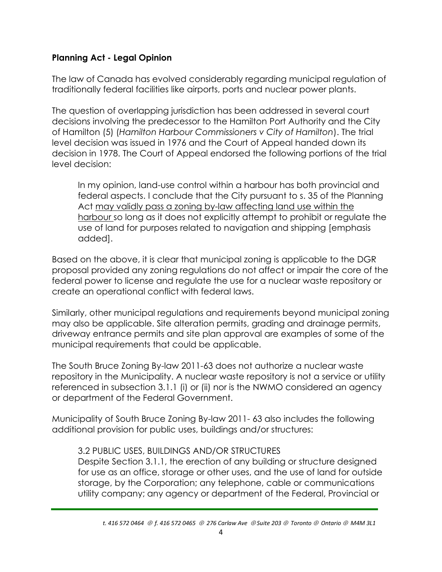## **Planning Act - Legal Opinion**

The law of Canada has evolved considerably regarding municipal regulation of traditionally federal facilities like airports, ports and nuclear power plants.

The question of overlapping jurisdiction has been addressed in several court decisions involving the predecessor to the Hamilton Port Authority and the City of Hamilton (5) (*Hamilton Harbour Commissioners v City of Hamilton*). The trial level decision was issued in 1976 and the Court of Appeal handed down its decision in 1978. The Court of Appeal endorsed the following portions of the trial level decision:

In my opinion, land-use control within a harbour has both provincial and federal aspects. I conclude that the City pursuant to s. 35 of the Planning Act may validly pass a zoning by-law affecting land use within the harbour so long as it does not explicitly attempt to prohibit or regulate the use of land for purposes related to navigation and shipping [emphasis added].

Based on the above, it is clear that municipal zoning is applicable to the DGR proposal provided any zoning regulations do not affect or impair the core of the federal power to license and regulate the use for a nuclear waste repository or create an operational conflict with federal laws.

Similarly, other municipal regulations and requirements beyond municipal zoning may also be applicable. Site alteration permits, grading and drainage permits, driveway entrance permits and site plan approval are examples of some of the municipal requirements that could be applicable.

The South Bruce Zoning By-law 2011-63 does not authorize a nuclear waste repository in the Municipality. A nuclear waste repository is not a service or utility referenced in subsection 3.1.1 (i) or (ii) nor is the NWMO considered an agency or department of the Federal Government.

Municipality of South Bruce Zoning By-law 2011- 63 also includes the following additional provision for public uses, buildings and/or structures:

## 3.2 PUBLIC USES, BUILDINGS AND/OR STRUCTURES

Despite Section 3.1.1, the erection of any building or structure designed for use as an office, storage or other uses, and the use of land for outside storage, by the Corporation; any telephone, cable or communications utility company; any agency or department of the Federal, Provincial or